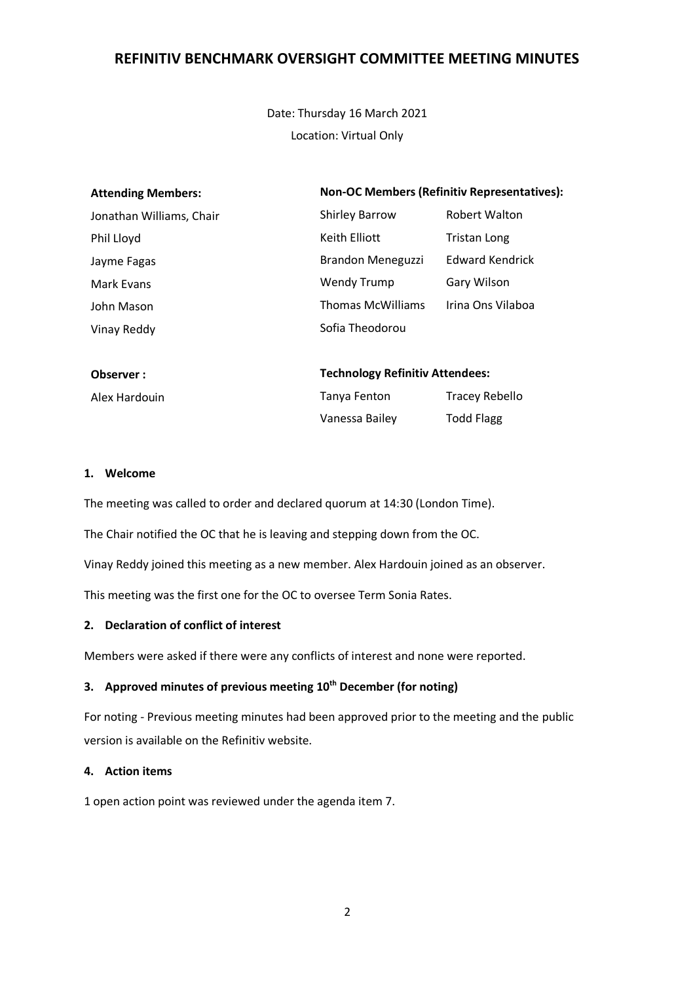Date: Thursday 16 March 2021 Location: Virtual Only

| <b>Attending Members:</b> | <b>Non-OC Members (Refinitiv Representatives):</b> |                        |
|---------------------------|----------------------------------------------------|------------------------|
| Jonathan Williams, Chair  | <b>Shirley Barrow</b>                              | <b>Robert Walton</b>   |
| Phil Lloyd                | Keith Elliott                                      | Tristan Long           |
| Jayme Fagas               | Brandon Meneguzzi                                  | <b>Edward Kendrick</b> |
| Mark Evans                | Wendy Trump                                        | Gary Wilson            |
| John Mason                | <b>Thomas McWilliams</b>                           | Irina Ons Vilaboa      |
| Vinay Reddy               | Sofia Theodorou                                    |                        |
|                           |                                                    |                        |
|                           |                                                    |                        |

| <b>Observer</b> : | <b>Technology Refinitiv Attendees:</b> |                   |
|-------------------|----------------------------------------|-------------------|
| Alex Hardouin     | Tanya Fenton                           | Tracey Rebello    |
|                   | Vanessa Bailey                         | <b>Todd Flagg</b> |

#### **1. Welcome**

The meeting was called to order and declared quorum at 14:30 (London Time).

The Chair notified the OC that he is leaving and stepping down from the OC.

Vinay Reddy joined this meeting as a new member. Alex Hardouin joined as an observer.

This meeting was the first one for the OC to oversee Term Sonia Rates.

#### **2. Declaration of conflict of interest**

Members were asked if there were any conflicts of interest and none were reported.

### **3. Approved minutes of previous meeting 10th December (for noting)**

For noting - Previous meeting minutes had been approved prior to the meeting and the public version is available on the Refinitiv website.

### **4. Action items**

1 open action point was reviewed under the agenda item 7.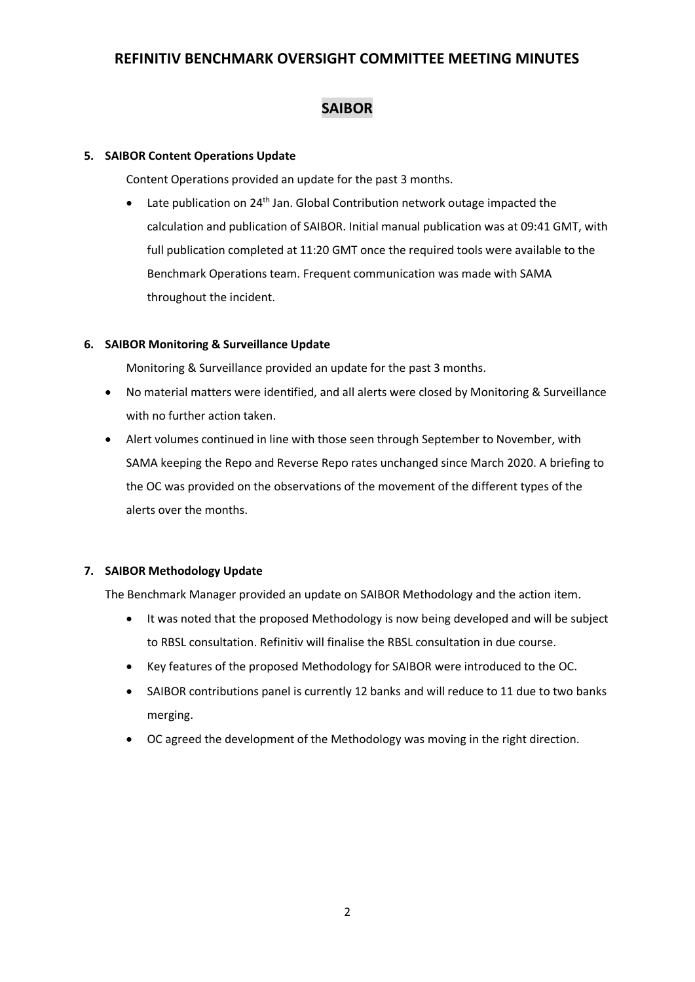# **SAIBOR**

### **5. SAIBOR Content Operations Update**

Content Operations provided an update for the past 3 months.

Late publication on 24<sup>th</sup> Jan. Global Contribution network outage impacted the calculation and publication of SAIBOR. Initial manual publication was at 09:41 GMT, with full publication completed at 11:20 GMT once the required tools were available to the Benchmark Operations team. Frequent communication was made with SAMA throughout the incident.

### **6. SAIBOR Monitoring & Surveillance Update**

Monitoring & Surveillance provided an update for the past 3 months.

- No material matters were identified, and all alerts were closed by Monitoring & Surveillance with no further action taken.
- Alert volumes continued in line with those seen through September to November, with SAMA keeping the Repo and Reverse Repo rates unchanged since March 2020. A briefing to the OC was provided on the observations of the movement of the different types of the alerts over the months.

### **7. SAIBOR Methodology Update**

The Benchmark Manager provided an update on SAIBOR Methodology and the action item.

- It was noted that the proposed Methodology is now being developed and will be subject to RBSL consultation. Refinitiv will finalise the RBSL consultation in due course.
- Key features of the proposed Methodology for SAIBOR were introduced to the OC.
- SAIBOR contributions panel is currently 12 banks and will reduce to 11 due to two banks merging.
- OC agreed the development of the Methodology was moving in the right direction.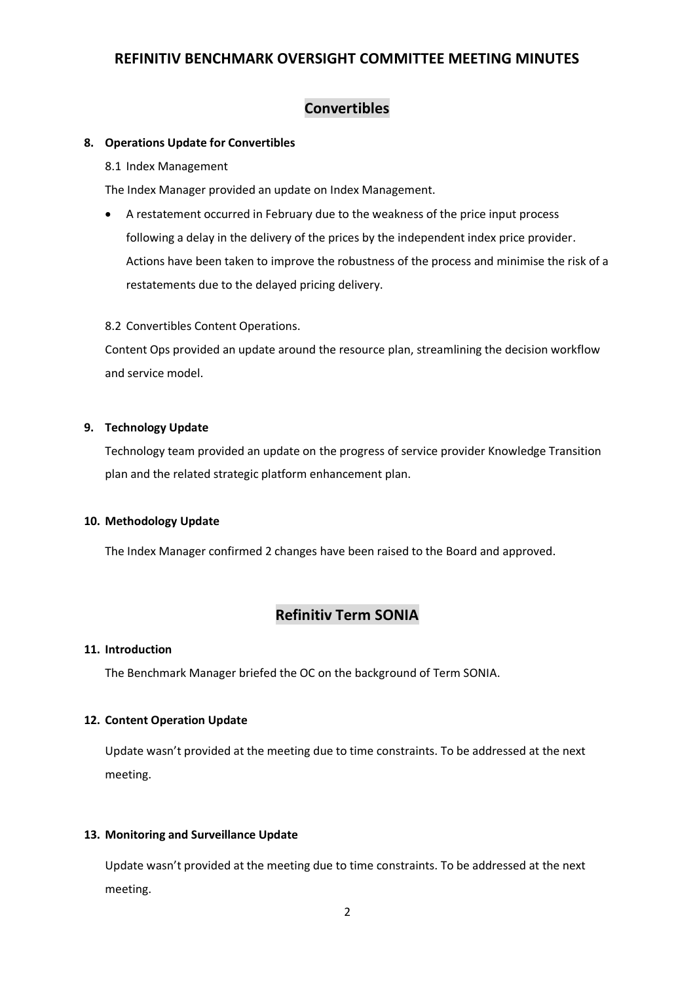# **Convertibles**

#### **8. Operations Update for Convertibles**

8.1 Index Management

The Index Manager provided an update on Index Management.

• A restatement occurred in February due to the weakness of the price input process following a delay in the delivery of the prices by the independent index price provider. Actions have been taken to improve the robustness of the process and minimise the risk of a restatements due to the delayed pricing delivery.

8.2 Convertibles Content Operations.

Content Ops provided an update around the resource plan, streamlining the decision workflow and service model.

#### **9. Technology Update**

Technology team provided an update on the progress of service provider Knowledge Transition plan and the related strategic platform enhancement plan.

#### **10. Methodology Update**

The Index Manager confirmed 2 changes have been raised to the Board and approved.

## **Refinitiv Term SONIA**

#### **11. Introduction**

The Benchmark Manager briefed the OC on the background of Term SONIA.

#### **12. Content Operation Update**

Update wasn't provided at the meeting due to time constraints. To be addressed at the next meeting.

#### **13. Monitoring and Surveillance Update**

Update wasn't provided at the meeting due to time constraints. To be addressed at the next meeting.